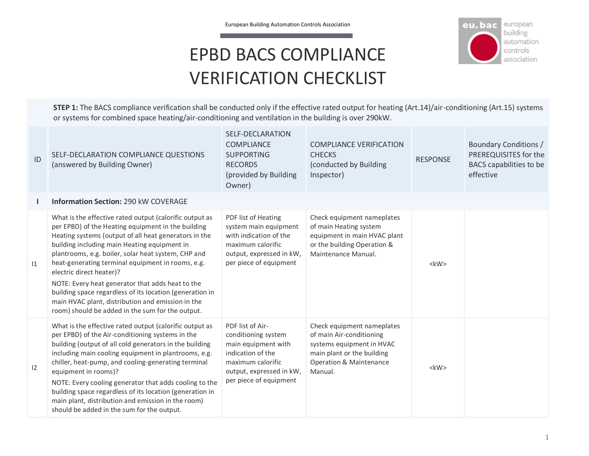

## EPBD BACS COMPLIANCE VERIFICATION CHECKLIST

**STEP 1:** The BACS compliance verification shall be conducted only if the effective rated output for heating (Art.14)/air-conditioning (Art.15) systems or systems for combined space heating/air-conditioning and ventilation in the building is over 290kW.

| ID | SELF-DECLARATION COMPLIANCE QUESTIONS<br>(answered by Building Owner)                                                                                                                                                                                                                                                                                                                                                                                                                                                                                                                   | SELF-DECLARATION<br><b>COMPLIANCE</b><br><b>SUPPORTING</b><br><b>RECORDS</b><br>(provided by Building<br>Owner)                                                | <b>COMPLIANCE VERIFICATION</b><br><b>CHECKS</b><br>(conducted by Building<br>Inspector)                                                                            | <b>RESPONSE</b> | Boundary Conditions /<br>PREREQUISITES for the<br>BACS capabilities to be<br>effective |
|----|-----------------------------------------------------------------------------------------------------------------------------------------------------------------------------------------------------------------------------------------------------------------------------------------------------------------------------------------------------------------------------------------------------------------------------------------------------------------------------------------------------------------------------------------------------------------------------------------|----------------------------------------------------------------------------------------------------------------------------------------------------------------|--------------------------------------------------------------------------------------------------------------------------------------------------------------------|-----------------|----------------------------------------------------------------------------------------|
|    | <b>Information Section: 290 kW COVERAGE</b>                                                                                                                                                                                                                                                                                                                                                                                                                                                                                                                                             |                                                                                                                                                                |                                                                                                                                                                    |                 |                                                                                        |
| 1  | What is the effective rated output (calorific output as<br>per EPBD) of the Heating equipment in the building<br>Heating systems (output of all heat generators in the<br>building including main Heating equipment in<br>plantrooms, e.g. boiler, solar heat system, CHP and<br>heat-generating terminal equipment in rooms, e.g.<br>electric direct heater)?<br>NOTE: Every heat generator that adds heat to the<br>building space regardless of its location (generation in<br>main HVAC plant, distribution and emission in the<br>room) should be added in the sum for the output. | PDF list of Heating<br>system main equipment<br>with indication of the<br>maximum calorific<br>output, expressed in kW,<br>per piece of equipment              | Check equipment nameplates<br>of main Heating system<br>equipment in main HVAC plant<br>or the building Operation &<br>Maintenance Manual.                         | $<$ kW $>$      |                                                                                        |
| 12 | What is the effective rated output (calorific output as<br>per EPBD) of the Air-conditioning systems in the<br>building (output of all cold generators in the building<br>including main cooling equipment in plantrooms, e.g.<br>chiller, heat-pump, and cooling-generating terminal<br>equipment in rooms)?<br>NOTE: Every cooling generator that adds cooling to the<br>building space regardless of its location (generation in<br>main plant, distribution and emission in the room)<br>should be added in the sum for the output.                                                 | PDF list of Air-<br>conditioning system<br>main equipment with<br>indication of the<br>maximum calorific<br>output, expressed in kW,<br>per piece of equipment | Check equipment nameplates<br>of main Air-conditioning<br>systems equipment in HVAC<br>main plant or the building<br><b>Operation &amp; Maintenance</b><br>Manual. | $<$ kW $>$      |                                                                                        |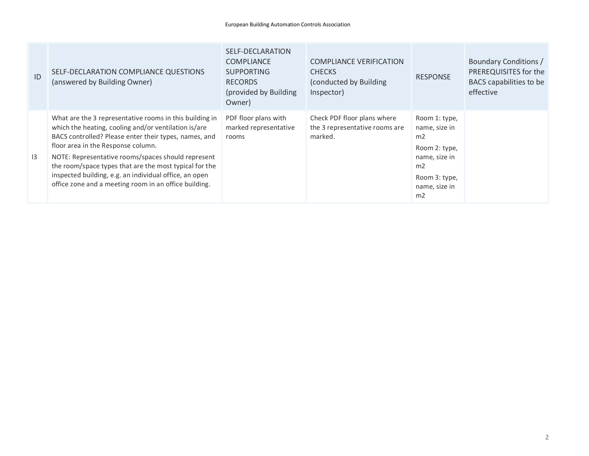| ID | SELF-DECLARATION COMPLIANCE QUESTIONS<br>(answered by Building Owner)                                                                                                                                                                                                                                                                                                                                                                             | SELF-DECLARATION<br><b>COMPLIANCE</b><br><b>SUPPORTING</b><br><b>RECORDS</b><br>(provided by Building)<br>Owner) | <b>COMPLIANCE VERIFICATION</b><br><b>CHECKS</b><br>(conducted by Building)<br>Inspector) | <b>RESPONSE</b>                                                                                                      | Boundary Conditions /<br>PREREQUISITES for the<br>BACS capabilities to be<br>effective |
|----|---------------------------------------------------------------------------------------------------------------------------------------------------------------------------------------------------------------------------------------------------------------------------------------------------------------------------------------------------------------------------------------------------------------------------------------------------|------------------------------------------------------------------------------------------------------------------|------------------------------------------------------------------------------------------|----------------------------------------------------------------------------------------------------------------------|----------------------------------------------------------------------------------------|
| 13 | What are the 3 representative rooms in this building in<br>which the heating, cooling and/or ventilation is/are<br>BACS controlled? Please enter their types, names, and<br>floor area in the Response column.<br>NOTE: Representative rooms/spaces should represent<br>the room/space types that are the most typical for the<br>inspected building, e.g. an individual office, an open<br>office zone and a meeting room in an office building. | PDF floor plans with<br>marked representative<br>rooms                                                           | Check PDF floor plans where<br>the 3 representative rooms are<br>marked.                 | Room 1: type,<br>name, size in<br>m2<br>Room 2: type,<br>name, size in<br>m2<br>Room 3: type,<br>name, size in<br>m2 |                                                                                        |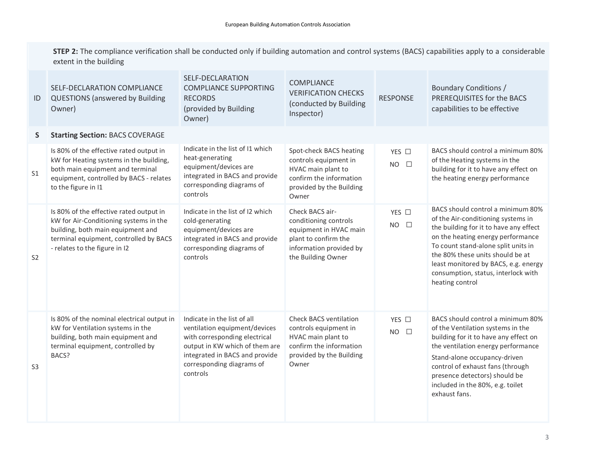**STEP 2:** The compliance verification shall be conducted only if building automation and control systems (BACS) capabilities apply to a considerable extent in the building

| ID             | SELF-DECLARATION COMPLIANCE<br><b>QUESTIONS</b> (answered by Building<br>Owner)                                                                                                                   | SELF-DECLARATION<br><b>COMPLIANCE SUPPORTING</b><br><b>RECORDS</b><br>(provided by Building<br>Owner)                                                                                                      | <b>COMPLIANCE</b><br><b>VERIFICATION CHECKS</b><br>(conducted by Building<br>Inspector)                                                      | <b>RESPONSE</b>                      | Boundary Conditions /<br>PREREQUISITES for the BACS<br>capabilities to be effective                                                                                                                                                                                                                                                 |
|----------------|---------------------------------------------------------------------------------------------------------------------------------------------------------------------------------------------------|------------------------------------------------------------------------------------------------------------------------------------------------------------------------------------------------------------|----------------------------------------------------------------------------------------------------------------------------------------------|--------------------------------------|-------------------------------------------------------------------------------------------------------------------------------------------------------------------------------------------------------------------------------------------------------------------------------------------------------------------------------------|
| S.             | <b>Starting Section: BACS COVERAGE</b>                                                                                                                                                            |                                                                                                                                                                                                            |                                                                                                                                              |                                      |                                                                                                                                                                                                                                                                                                                                     |
| S <sub>1</sub> | Is 80% of the effective rated output in<br>kW for Heating systems in the building,<br>both main equipment and terminal<br>equipment, controlled by BACS - relates<br>to the figure in I1          | Indicate in the list of 11 which<br>heat-generating<br>equipment/devices are<br>integrated in BACS and provide<br>corresponding diagrams of<br>controls                                                    | Spot-check BACS heating<br>controls equipment in<br>HVAC main plant to<br>confirm the information<br>provided by the Building<br>Owner       | YES $\Box$<br>$\Box$<br><b>NO</b>    | BACS should control a minimum 80%<br>of the Heating systems in the<br>building for it to have any effect on<br>the heating energy performance                                                                                                                                                                                       |
| S <sub>2</sub> | Is 80% of the effective rated output in<br>kW for Air-Conditioning systems in the<br>building, both main equipment and<br>terminal equipment, controlled by BACS<br>- relates to the figure in I2 | Indicate in the list of 12 which<br>cold-generating<br>equipment/devices are<br>integrated in BACS and provide<br>corresponding diagrams of<br>controls                                                    | Check BACS air-<br>conditioning controls<br>equipment in HVAC main<br>plant to confirm the<br>information provided by<br>the Building Owner  | YES $\square$<br><b>NO</b><br>$\Box$ | BACS should control a minimum 80%<br>of the Air-conditioning systems in<br>the building for it to have any effect<br>on the heating energy performance<br>To count stand-alone split units in<br>the 80% these units should be at<br>least monitored by BACS, e.g. energy<br>consumption, status, interlock with<br>heating control |
| S <sub>3</sub> | Is 80% of the nominal electrical output in<br>kW for Ventilation systems in the<br>building, both main equipment and<br>terminal equipment, controlled by<br>BACS?                                | Indicate in the list of all<br>ventilation equipment/devices<br>with corresponding electrical<br>output in KW which of them are<br>integrated in BACS and provide<br>corresponding diagrams of<br>controls | <b>Check BACS ventilation</b><br>controls equipment in<br>HVAC main plant to<br>confirm the information<br>provided by the Building<br>Owner | YES $\Box$<br>$NO$ $\square$         | BACS should control a minimum 80%<br>of the Ventilation systems in the<br>building for it to have any effect on<br>the ventilation energy performance<br>Stand-alone occupancy-driven<br>control of exhaust fans (through<br>presence detectors) should be<br>included in the 80%, e.g. toilet<br>exhaust fans.                     |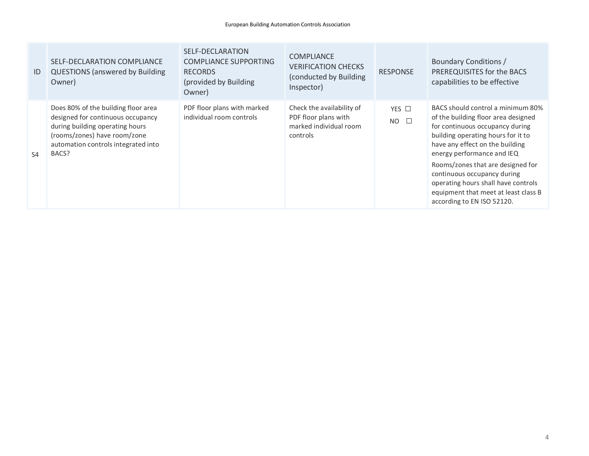| ID             | SELF-DECLARATION COMPLIANCE<br><b>QUESTIONS (answered by Building</b><br>Owner)                                                                                                             | SELF-DECLARATION<br><b>COMPLIANCE SUPPORTING</b><br><b>RECORDS</b><br>(provided by Building<br>Owner) | <b>COMPLIANCE</b><br><b>VERIFICATION CHECKS</b><br>(conducted by Building)<br>Inspector) | <b>RESPONSE</b>              | Boundary Conditions /<br>PREREQUISITES for the BACS<br>capabilities to be effective                                                                                                                                                                                                                                                                                                                 |
|----------------|---------------------------------------------------------------------------------------------------------------------------------------------------------------------------------------------|-------------------------------------------------------------------------------------------------------|------------------------------------------------------------------------------------------|------------------------------|-----------------------------------------------------------------------------------------------------------------------------------------------------------------------------------------------------------------------------------------------------------------------------------------------------------------------------------------------------------------------------------------------------|
| S <sub>4</sub> | Does 80% of the building floor area<br>designed for continuous occupancy<br>during building operating hours<br>(rooms/zones) have room/zone<br>automation controls integrated into<br>BACS? | PDF floor plans with marked<br>individual room controls                                               | Check the availability of<br>PDF floor plans with<br>marked individual room<br>controls  | YES $\Box$<br>$NO$ $\square$ | BACS should control a minimum 80%<br>of the building floor area designed<br>for continuous occupancy during<br>building operating hours for it to<br>have any effect on the building<br>energy performance and IEQ<br>Rooms/zones that are designed for<br>continuous occupancy during<br>operating hours shall have controls<br>equipment that meet at least class B<br>according to EN ISO 52120. |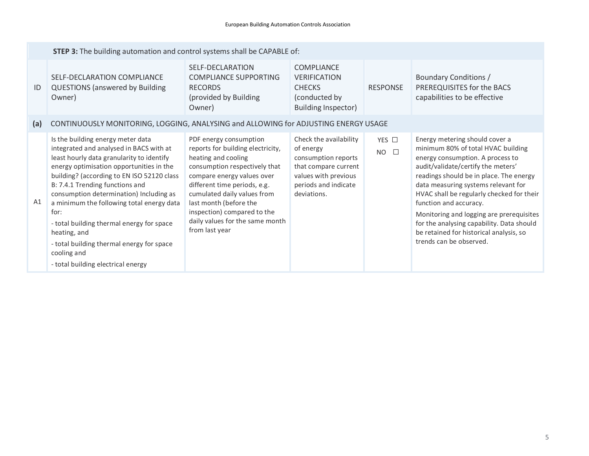|     | STEP 3: The building automation and control systems shall be CAPABLE of:                                                                                                                                                                                                                                                                                                                                                                                                                                              |                                                                                                                                                                                                                                                                                                                                |                                                                                                                                                   |                              |                                                                                                                                                                                                                                                                                                                                                                                                                                                                        |
|-----|-----------------------------------------------------------------------------------------------------------------------------------------------------------------------------------------------------------------------------------------------------------------------------------------------------------------------------------------------------------------------------------------------------------------------------------------------------------------------------------------------------------------------|--------------------------------------------------------------------------------------------------------------------------------------------------------------------------------------------------------------------------------------------------------------------------------------------------------------------------------|---------------------------------------------------------------------------------------------------------------------------------------------------|------------------------------|------------------------------------------------------------------------------------------------------------------------------------------------------------------------------------------------------------------------------------------------------------------------------------------------------------------------------------------------------------------------------------------------------------------------------------------------------------------------|
| ID  | SELF-DECLARATION COMPLIANCE<br><b>QUESTIONS (answered by Building</b><br>Owner)                                                                                                                                                                                                                                                                                                                                                                                                                                       | SELF-DECLARATION<br><b>COMPLIANCE SUPPORTING</b><br><b>RECORDS</b><br>(provided by Building<br>Owner)                                                                                                                                                                                                                          | <b>COMPLIANCE</b><br><b>VERIFICATION</b><br><b>CHECKS</b><br>(conducted by<br>Building Inspector)                                                 | <b>RESPONSE</b>              | Boundary Conditions /<br>PREREQUISITES for the BACS<br>capabilities to be effective                                                                                                                                                                                                                                                                                                                                                                                    |
| (a) | CONTINUOUSLY MONITORING, LOGGING, ANALYSING and ALLOWING for ADJUSTING ENERGY USAGE                                                                                                                                                                                                                                                                                                                                                                                                                                   |                                                                                                                                                                                                                                                                                                                                |                                                                                                                                                   |                              |                                                                                                                                                                                                                                                                                                                                                                                                                                                                        |
| A1  | Is the building energy meter data<br>integrated and analysed in BACS with at<br>least hourly data granularity to identify<br>energy optimisation opportunities in the<br>building? (according to EN ISO 52120 class<br>B: 7.4.1 Trending functions and<br>consumption determination) Including as<br>a minimum the following total energy data<br>for:<br>- total building thermal energy for space<br>heating, and<br>- total building thermal energy for space<br>cooling and<br>- total building electrical energy | PDF energy consumption<br>reports for building electricity,<br>heating and cooling<br>consumption respectively that<br>compare energy values over<br>different time periods, e.g.<br>cumulated daily values from<br>last month (before the<br>inspection) compared to the<br>daily values for the same month<br>from last year | Check the availability<br>of energy<br>consumption reports<br>that compare current<br>values with previous<br>periods and indicate<br>deviations. | YES □<br>$\Box$<br><b>NO</b> | Energy metering should cover a<br>minimum 80% of total HVAC building<br>energy consumption. A process to<br>audit/validate/certify the meters'<br>readings should be in place. The energy<br>data measuring systems relevant for<br>HVAC shall be regularly checked for their<br>function and accuracy.<br>Monitoring and logging are prerequisites<br>for the analysing capability. Data should<br>be retained for historical analysis, so<br>trends can be observed. |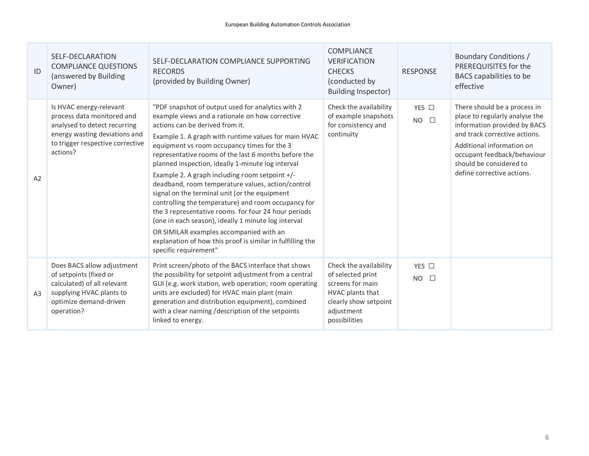| ID             | SELF-DECLARATION<br><b>COMPLIANCE QUESTIONS</b><br>(answered by Building<br>Owner)                                                                                     | SELF-DECLARATION COMPLIANCE SUPPORTING<br><b>RECORDS</b><br>(provided by Building Owner)                                                                                                                                                                                                                                                                                                                                                                                                                                                                                                                                                                                                                                                                                                                                   | <b>COMPLIANCE</b><br><b>VERIFICATION</b><br><b>CHECKS</b><br>(conducted by<br><b>Building Inspector)</b>                                    | <b>RESPONSE</b>                      | Boundary Conditions /<br>PREREQUISITES for the<br>BACS capabilities to be<br>effective                                                                                                                                                               |
|----------------|------------------------------------------------------------------------------------------------------------------------------------------------------------------------|----------------------------------------------------------------------------------------------------------------------------------------------------------------------------------------------------------------------------------------------------------------------------------------------------------------------------------------------------------------------------------------------------------------------------------------------------------------------------------------------------------------------------------------------------------------------------------------------------------------------------------------------------------------------------------------------------------------------------------------------------------------------------------------------------------------------------|---------------------------------------------------------------------------------------------------------------------------------------------|--------------------------------------|------------------------------------------------------------------------------------------------------------------------------------------------------------------------------------------------------------------------------------------------------|
| A2             | Is HVAC energy-relevant<br>process data monitored and<br>analysed to detect recurring<br>energy wasting deviations and<br>to trigger respective corrective<br>actions? | "PDF snapshot of output used for analytics with 2<br>example views and a rationale on how corrective<br>actions can be derived from it.<br>Example 1. A graph with runtime values for main HVAC<br>equipment vs room occupancy times for the 3<br>representative rooms of the last 6 months before the<br>planned inspection, ideally 1-minute log interval<br>Example 2. A graph including room setpoint +/-<br>deadband, room temperature values, action/control<br>signal on the terminal unit (or the equipment<br>controlling the temperature) and room occupancy for<br>the 3 representative rooms for four 24 hour periods<br>(one in each season), ideally 1 minute log interval<br>OR SIMILAR examples accompanied with an<br>explanation of how this proof is similar in fulfilling the<br>specific requirement" | Check the availability<br>of example snapshots<br>for consistency and<br>continuity                                                         | YES $\Box$<br>$NO$ $\square$         | There should be a process in<br>place to regularly analyse the<br>information provided by BACS<br>and track corrective actions.<br>Additional information on<br>occupant feedback/behaviour<br>should be considered to<br>define corrective actions. |
| A <sub>3</sub> | Does BACS allow adjustment<br>of setpoints (fixed or<br>calculated) of all relevant<br>supplying HVAC plants to<br>optimize demand-driven<br>operation?                | Print screen/photo of the BACS interface that shows<br>the possibility for setpoint adjustment from a central<br>GUI (e.g. work station, web operation; room operating<br>units are excluded) for HVAC main plant (main<br>generation and distribution equipment), combined<br>with a clear naming / description of the setpoints<br>linked to energy.                                                                                                                                                                                                                                                                                                                                                                                                                                                                     | Check the availability<br>of selected print<br>screens for main<br>HVAC plants that<br>clearly show setpoint<br>adjustment<br>possibilities | YES $\square$<br><b>NO</b><br>$\Box$ |                                                                                                                                                                                                                                                      |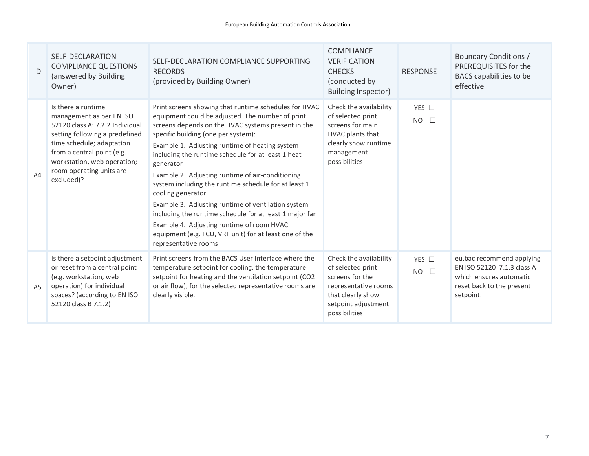| ID             | SELF-DECLARATION<br><b>COMPLIANCE QUESTIONS</b><br>(answered by Building<br>Owner)                                                                                                                                                                      | SELF-DECLARATION COMPLIANCE SUPPORTING<br><b>RECORDS</b><br>(provided by Building Owner)                                                                                                                                                                                                                                                                                                                                                                                                                                                                                                                                                                                                                     | <b>COMPLIANCE</b><br><b>VERIFICATION</b><br><b>CHECKS</b><br>(conducted by<br><b>Building Inspector)</b>                                            | <b>RESPONSE</b>                   | Boundary Conditions /<br>PREREQUISITES for the<br>BACS capabilities to be<br>effective                                       |
|----------------|---------------------------------------------------------------------------------------------------------------------------------------------------------------------------------------------------------------------------------------------------------|--------------------------------------------------------------------------------------------------------------------------------------------------------------------------------------------------------------------------------------------------------------------------------------------------------------------------------------------------------------------------------------------------------------------------------------------------------------------------------------------------------------------------------------------------------------------------------------------------------------------------------------------------------------------------------------------------------------|-----------------------------------------------------------------------------------------------------------------------------------------------------|-----------------------------------|------------------------------------------------------------------------------------------------------------------------------|
| A4             | Is there a runtime<br>management as per EN ISO<br>52120 class A: 7.2.2 Individual<br>setting following a predefined<br>time schedule; adaptation<br>from a central point (e.g.<br>workstation, web operation;<br>room operating units are<br>excluded)? | Print screens showing that runtime schedules for HVAC<br>equipment could be adjusted. The number of print<br>screens depends on the HVAC systems present in the<br>specific building (one per system):<br>Example 1. Adjusting runtime of heating system<br>including the runtime schedule for at least 1 heat<br>generator<br>Example 2. Adjusting runtime of air-conditioning<br>system including the runtime schedule for at least 1<br>cooling generator<br>Example 3. Adjusting runtime of ventilation system<br>including the runtime schedule for at least 1 major fan<br>Example 4. Adjusting runtime of room HVAC<br>equipment (e.g. FCU, VRF unit) for at least one of the<br>representative rooms | Check the availability<br>of selected print<br>screens for main<br>HVAC plants that<br>clearly show runtime<br>management<br>possibilities          | YES $\Box$<br><b>NO</b><br>$\Box$ |                                                                                                                              |
| A <sub>5</sub> | Is there a setpoint adjustment<br>or reset from a central point<br>(e.g. workstation, web<br>operation) for individual<br>spaces? (according to EN ISO<br>52120 class B 7.1.2)                                                                          | Print screens from the BACS User Interface where the<br>temperature setpoint for cooling, the temperature<br>setpoint for heating and the ventilation setpoint (CO2<br>or air flow), for the selected representative rooms are<br>clearly visible.                                                                                                                                                                                                                                                                                                                                                                                                                                                           | Check the availability<br>of selected print<br>screens for the<br>representative rooms<br>that clearly show<br>setpoint adjustment<br>possibilities | YES $\square$<br>$NO$ $\square$   | eu.bac recommend applying<br>EN ISO 52120 7.1.3 class A<br>which ensures automatic<br>reset back to the present<br>setpoint. |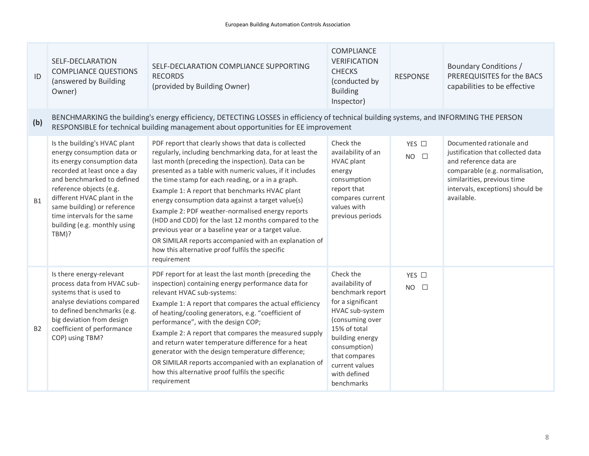| ID        | <b>SELF-DECLARATION</b><br><b>COMPLIANCE QUESTIONS</b><br>(answered by Building<br>Owner)                                                                                                                                                                                                                                | SELF-DECLARATION COMPLIANCE SUPPORTING<br><b>RECORDS</b><br>(provided by Building Owner)                                                                                                                                                                                                                                                                                                                                                                                                                                                                                                                                                                                                     | COMPLIANCE<br><b>VERIFICATION</b><br><b>CHECKS</b><br>(conducted by<br><b>Building</b><br>Inspector)                                                                                                                            | <b>RESPONSE</b>              | <b>Boundary Conditions /</b><br>PREREQUISITES for the BACS<br>capabilities to be effective                                                                                                                  |
|-----------|--------------------------------------------------------------------------------------------------------------------------------------------------------------------------------------------------------------------------------------------------------------------------------------------------------------------------|----------------------------------------------------------------------------------------------------------------------------------------------------------------------------------------------------------------------------------------------------------------------------------------------------------------------------------------------------------------------------------------------------------------------------------------------------------------------------------------------------------------------------------------------------------------------------------------------------------------------------------------------------------------------------------------------|---------------------------------------------------------------------------------------------------------------------------------------------------------------------------------------------------------------------------------|------------------------------|-------------------------------------------------------------------------------------------------------------------------------------------------------------------------------------------------------------|
| (b)       |                                                                                                                                                                                                                                                                                                                          | BENCHMARKING the building's energy efficiency, DETECTING LOSSES in efficiency of technical building systems, and INFORMING THE PERSON<br>RESPONSIBLE for technical building management about opportunities for EE improvement                                                                                                                                                                                                                                                                                                                                                                                                                                                                |                                                                                                                                                                                                                                 |                              |                                                                                                                                                                                                             |
| <b>B1</b> | Is the building's HVAC plant<br>energy consumption data or<br>its energy consumption data<br>recorded at least once a day<br>and benchmarked to defined<br>reference objects (e.g.<br>different HVAC plant in the<br>same building) or reference<br>time intervals for the same<br>building (e.g. monthly using<br>TBM)? | PDF report that clearly shows that data is collected<br>regularly, including benchmarking data, for at least the<br>last month (preceding the inspection). Data can be<br>presented as a table with numeric values, if it includes<br>the time stamp for each reading, or a in a graph.<br>Example 1: A report that benchmarks HVAC plant<br>energy consumption data against a target value(s)<br>Example 2: PDF weather-normalised energy reports<br>(HDD and CDD) for the last 12 months compared to the<br>previous year or a baseline year or a target value.<br>OR SIMILAR reports accompanied with an explanation of<br>how this alternative proof fulfils the specific<br>requirement | Check the<br>availability of an<br><b>HVAC plant</b><br>energy<br>consumption<br>report that<br>compares current<br>values with<br>previous periods                                                                             | YES □<br>$NO$ $\square$      | Documented rationale and<br>justification that collected data<br>and reference data are<br>comparable (e.g. normalisation,<br>similarities, previous time<br>intervals, exceptions) should be<br>available. |
| <b>B2</b> | Is there energy-relevant<br>process data from HVAC sub-<br>systems that is used to<br>analyse deviations compared<br>to defined benchmarks (e.g.<br>big deviation from design<br>coefficient of performance<br>COP) using TBM?                                                                                           | PDF report for at least the last month (preceding the<br>inspection) containing energy performance data for<br>relevant HVAC sub-systems:<br>Example 1: A report that compares the actual efficiency<br>of heating/cooling generators, e.g. "coefficient of<br>performance", with the design COP;<br>Example 2: A report that compares the measured supply<br>and return water temperature difference for a heat<br>generator with the design temperature difference;<br>OR SIMILAR reports accompanied with an explanation of<br>how this alternative proof fulfils the specific<br>requirement                                                                                             | Check the<br>availability of<br>benchmark report<br>for a significant<br>HVAC sub-system<br>(consuming over<br>15% of total<br>building energy<br>consumption)<br>that compares<br>current values<br>with defined<br>benchmarks | YES □<br>$\Box$<br><b>NO</b> |                                                                                                                                                                                                             |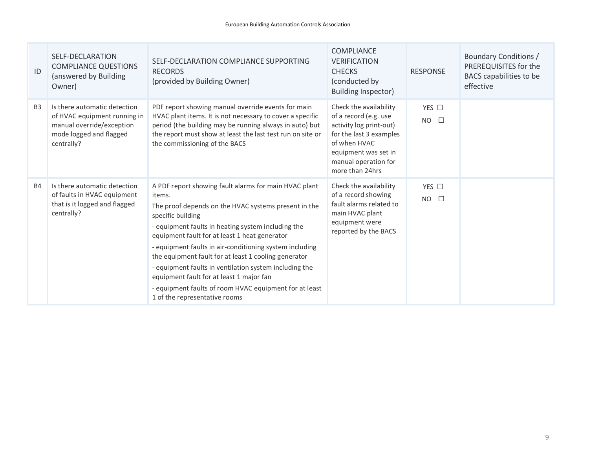| ID             | SELF-DECLARATION<br><b>COMPLIANCE QUESTIONS</b><br>(answered by Building<br>Owner)                                                 | SELF-DECLARATION COMPLIANCE SUPPORTING<br><b>RECORDS</b><br>(provided by Building Owner)                                                                                                                                                                                                                                                                                                                                                                                                                                                                                | <b>COMPLIANCE</b><br><b>VERIFICATION</b><br><b>CHECKS</b><br>(conducted by<br>Building Inspector)                                                                                        | <b>RESPONSE</b>         | Boundary Conditions /<br>PREREQUISITES for the<br>BACS capabilities to be<br>effective |
|----------------|------------------------------------------------------------------------------------------------------------------------------------|-------------------------------------------------------------------------------------------------------------------------------------------------------------------------------------------------------------------------------------------------------------------------------------------------------------------------------------------------------------------------------------------------------------------------------------------------------------------------------------------------------------------------------------------------------------------------|------------------------------------------------------------------------------------------------------------------------------------------------------------------------------------------|-------------------------|----------------------------------------------------------------------------------------|
| B <sub>3</sub> | Is there automatic detection<br>of HVAC equipment running in<br>manual override/exception<br>mode logged and flagged<br>centrally? | PDF report showing manual override events for main<br>HVAC plant items. It is not necessary to cover a specific<br>period (the building may be running always in auto) but<br>the report must show at least the last test run on site or<br>the commissioning of the BACS                                                                                                                                                                                                                                                                                               | Check the availability<br>of a record (e.g. use<br>activity log print-out)<br>for the last 3 examples<br>of when HVAC<br>equipment was set in<br>manual operation for<br>more than 24hrs | YES □<br>$NO$ $\square$ |                                                                                        |
| <b>B4</b>      | Is there automatic detection<br>of faults in HVAC equipment<br>that is it logged and flagged<br>centrally?                         | A PDF report showing fault alarms for main HVAC plant<br>items.<br>The proof depends on the HVAC systems present in the<br>specific building<br>- equipment faults in heating system including the<br>equipment fault for at least 1 heat generator<br>- equipment faults in air-conditioning system including<br>the equipment fault for at least 1 cooling generator<br>- equipment faults in ventilation system including the<br>equipment fault for at least 1 major fan<br>- equipment faults of room HVAC equipment for at least<br>1 of the representative rooms | Check the availability<br>of a record showing<br>fault alarms related to<br>main HVAC plant<br>equipment were<br>reported by the BACS                                                    | YES □<br>$NO$ $\square$ |                                                                                        |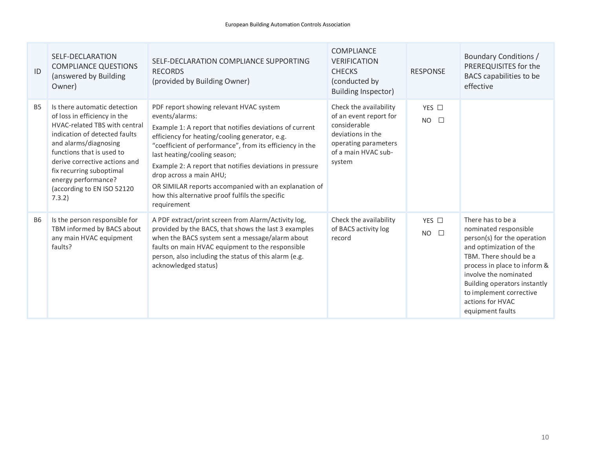| ID        | SELF-DECLARATION<br><b>COMPLIANCE QUESTIONS</b><br>(answered by Building<br>Owner)                                                                                                                                                                                                                                      | SELF-DECLARATION COMPLIANCE SUPPORTING<br><b>RECORDS</b><br>(provided by Building Owner)                                                                                                                                                                                                                                                                                                                                                                                             | COMPLIANCE<br><b>VERIFICATION</b><br><b>CHECKS</b><br>(conducted by<br>Building Inspector)                                                     | <b>RESPONSE</b>         | Boundary Conditions /<br>PREREQUISITES for the<br>BACS capabilities to be<br>effective                                                                                                                                                                                                     |
|-----------|-------------------------------------------------------------------------------------------------------------------------------------------------------------------------------------------------------------------------------------------------------------------------------------------------------------------------|--------------------------------------------------------------------------------------------------------------------------------------------------------------------------------------------------------------------------------------------------------------------------------------------------------------------------------------------------------------------------------------------------------------------------------------------------------------------------------------|------------------------------------------------------------------------------------------------------------------------------------------------|-------------------------|--------------------------------------------------------------------------------------------------------------------------------------------------------------------------------------------------------------------------------------------------------------------------------------------|
| <b>B5</b> | Is there automatic detection<br>of loss in efficiency in the<br><b>HVAC-related TBS with central</b><br>indication of detected faults<br>and alarms/diagnosing<br>functions that is used to<br>derive corrective actions and<br>fix recurring suboptimal<br>energy performance?<br>(according to EN ISO 52120<br>7.3.2) | PDF report showing relevant HVAC system<br>events/alarms:<br>Example 1: A report that notifies deviations of current<br>efficiency for heating/cooling generator, e.g.<br>"coefficient of performance", from its efficiency in the<br>last heating/cooling season;<br>Example 2: A report that notifies deviations in pressure<br>drop across a main AHU;<br>OR SIMILAR reports accompanied with an explanation of<br>how this alternative proof fulfils the specific<br>requirement | Check the availability<br>of an event report for<br>considerable<br>deviations in the<br>operating parameters<br>of a main HVAC sub-<br>system | YES □<br>$NO$ $\square$ |                                                                                                                                                                                                                                                                                            |
| <b>B6</b> | Is the person responsible for<br>TBM informed by BACS about<br>any main HVAC equipment<br>faults?                                                                                                                                                                                                                       | A PDF extract/print screen from Alarm/Activity log,<br>provided by the BACS, that shows the last 3 examples<br>when the BACS system sent a message/alarm about<br>faults on main HVAC equipment to the responsible<br>person, also including the status of this alarm (e.g.<br>acknowledged status)                                                                                                                                                                                  | Check the availability<br>of BACS activity log<br>record                                                                                       | YES □<br>$NO$ $\square$ | There has to be a<br>nominated responsible<br>person(s) for the operation<br>and optimization of the<br>TBM. There should be a<br>process in place to inform &<br>involve the nominated<br>Building operators instantly<br>to implement corrective<br>actions for HVAC<br>equipment faults |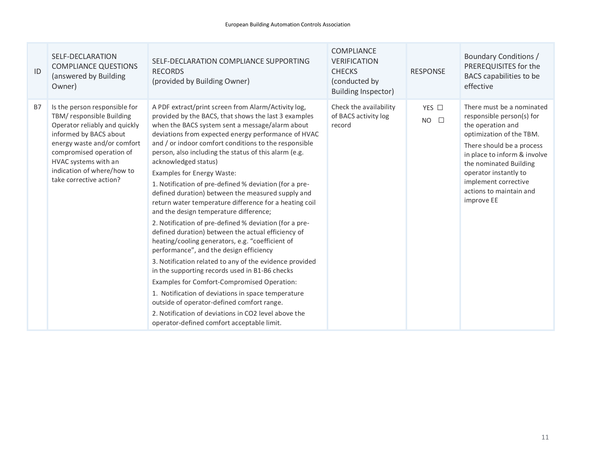| ID        | SELF-DECLARATION<br><b>COMPLIANCE QUESTIONS</b><br>(answered by Building<br>Owner)                                                                                                                                                                                | SELF-DECLARATION COMPLIANCE SUPPORTING<br><b>RECORDS</b><br>(provided by Building Owner)                                                                                                                                                                                                                                                                                                                                                                                                                                                                                                                                                                                                                                                                                                                                                                                                                                                                                                                                                                                                                                                                                                              | <b>COMPLIANCE</b><br><b>VERIFICATION</b><br><b>CHECKS</b><br>(conducted by<br><b>Building Inspector)</b> | <b>RESPONSE</b>              | Boundary Conditions /<br>PREREQUISITES for the<br>BACS capabilities to be<br>effective                                                                                                                                                                                                   |
|-----------|-------------------------------------------------------------------------------------------------------------------------------------------------------------------------------------------------------------------------------------------------------------------|-------------------------------------------------------------------------------------------------------------------------------------------------------------------------------------------------------------------------------------------------------------------------------------------------------------------------------------------------------------------------------------------------------------------------------------------------------------------------------------------------------------------------------------------------------------------------------------------------------------------------------------------------------------------------------------------------------------------------------------------------------------------------------------------------------------------------------------------------------------------------------------------------------------------------------------------------------------------------------------------------------------------------------------------------------------------------------------------------------------------------------------------------------------------------------------------------------|----------------------------------------------------------------------------------------------------------|------------------------------|------------------------------------------------------------------------------------------------------------------------------------------------------------------------------------------------------------------------------------------------------------------------------------------|
| <b>B7</b> | Is the person responsible for<br>TBM/ responsible Building<br>Operator reliably and quickly<br>informed by BACS about<br>energy waste and/or comfort<br>compromised operation of<br>HVAC systems with an<br>indication of where/how to<br>take corrective action? | A PDF extract/print screen from Alarm/Activity log,<br>provided by the BACS, that shows the last 3 examples<br>when the BACS system sent a message/alarm about<br>deviations from expected energy performance of HVAC<br>and / or indoor comfort conditions to the responsible<br>person, also including the status of this alarm (e.g.<br>acknowledged status)<br>Examples for Energy Waste:<br>1. Notification of pre-defined % deviation (for a pre-<br>defined duration) between the measured supply and<br>return water temperature difference for a heating coil<br>and the design temperature difference;<br>2. Notification of pre-defined % deviation (for a pre-<br>defined duration) between the actual efficiency of<br>heating/cooling generators, e.g. "coefficient of<br>performance", and the design efficiency<br>3. Notification related to any of the evidence provided<br>in the supporting records used in B1-B6 checks<br>Examples for Comfort-Compromised Operation:<br>1. Notification of deviations in space temperature<br>outside of operator-defined comfort range.<br>2. Notification of deviations in CO2 level above the<br>operator-defined comfort acceptable limit. | Check the availability<br>of BACS activity log<br>record                                                 | YES □<br><b>NO</b><br>$\Box$ | There must be a nominated<br>responsible person(s) for<br>the operation and<br>optimization of the TBM.<br>There should be a process<br>in place to inform & involve<br>the nominated Building<br>operator instantly to<br>implement corrective<br>actions to maintain and<br>improve EE |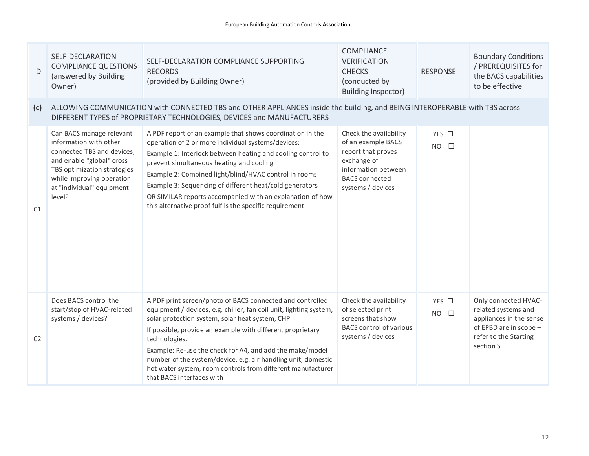| ID             | SELF-DECLARATION<br><b>COMPLIANCE QUESTIONS</b><br>(answered by Building<br>Owner)                                                                                                                               | SELF-DECLARATION COMPLIANCE SUPPORTING<br><b>RECORDS</b><br>(provided by Building Owner)                                                                                                                                                                                                                                                                                                                                                                                                   | COMPLIANCE<br><b>VERIFICATION</b><br><b>CHECKS</b><br>(conducted by<br><b>Building Inspector)</b>                                                      | <b>RESPONSE</b>                   | <b>Boundary Conditions</b><br>/ PREREQUISITES for<br>the BACS capabilities<br>to be effective                                          |
|----------------|------------------------------------------------------------------------------------------------------------------------------------------------------------------------------------------------------------------|--------------------------------------------------------------------------------------------------------------------------------------------------------------------------------------------------------------------------------------------------------------------------------------------------------------------------------------------------------------------------------------------------------------------------------------------------------------------------------------------|--------------------------------------------------------------------------------------------------------------------------------------------------------|-----------------------------------|----------------------------------------------------------------------------------------------------------------------------------------|
| (c)            |                                                                                                                                                                                                                  | ALLOWING COMMUNICATION with CONNECTED TBS and OTHER APPLIANCES inside the building, and BEING INTEROPERABLE with TBS across<br>DIFFERENT TYPES of PROPRIETARY TECHNOLOGIES, DEVICES and MANUFACTURERS                                                                                                                                                                                                                                                                                      |                                                                                                                                                        |                                   |                                                                                                                                        |
| C1             | Can BACS manage relevant<br>information with other<br>connected TBS and devices,<br>and enable "global" cross<br>TBS optimization strategies<br>while improving operation<br>at "individual" equipment<br>level? | A PDF report of an example that shows coordination in the<br>operation of 2 or more individual systems/devices:<br>Example 1: Interlock between heating and cooling control to<br>prevent simultaneous heating and cooling<br>Example 2: Combined light/blind/HVAC control in rooms<br>Example 3: Sequencing of different heat/cold generators<br>OR SIMILAR reports accompanied with an explanation of how<br>this alternative proof fulfils the specific requirement                     | Check the availability<br>of an example BACS<br>report that proves<br>exchange of<br>information between<br><b>BACS</b> connected<br>systems / devices | YES $\Box$<br>$NO$ $\square$      |                                                                                                                                        |
| C <sub>2</sub> | Does BACS control the<br>start/stop of HVAC-related<br>systems / devices?                                                                                                                                        | A PDF print screen/photo of BACS connected and controlled<br>equipment / devices, e.g. chiller, fan coil unit, lighting system,<br>solar protection system, solar heat system, CHP<br>If possible, provide an example with different proprietary<br>technologies.<br>Example: Re-use the check for A4, and add the make/model<br>number of the system/device, e.g. air handling unit, domestic<br>hot water system, room controls from different manufacturer<br>that BACS interfaces with | Check the availability<br>of selected print<br>screens that show<br><b>BACS</b> control of various<br>systems / devices                                | YES $\Box$<br><b>NO</b><br>$\Box$ | Only connected HVAC-<br>related systems and<br>appliances in the sense<br>of EPBD are in scope -<br>refer to the Starting<br>section S |